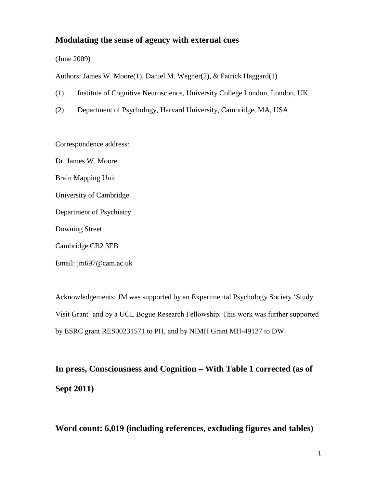### **Modulating the sense of agency with external cues**

(June 2009)

Authors: James W. Moore(1), Daniel M. Wegner(2), & Patrick Haggard(1)

- (1) Institute of Cognitive Neuroscience, University College London, London, UK
- (2) Department of Psychology, Harvard University, Cambridge, MA, USA

Correspondence address:

Dr. James W. Moore Brain Mapping Unit University of Cambridge Department of Psychiatry Downing Street

Cambridge CB2 3EB

Email: jm697@cam.ac.uk

Acknowledgements: JM was supported by an Experimental Psychology Society 'Study Visit Grant' and by a UCL Bogue Research Fellowship. This work was further supported by ESRC grant RES00231571 to PH, and by NIMH Grant MH-49127 to DW.

**In press, Consciousness and Cognition – With Table 1 corrected (as of Sept 2011)**

**Word count: 6,019 (including references, excluding figures and tables)**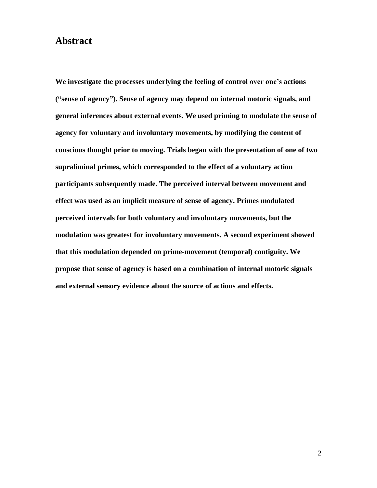## **Abstract**

**We investigate the processes underlying the feeling of control over one's actions ("sense of agency"). Sense of agency may depend on internal motoric signals, and general inferences about external events. We used priming to modulate the sense of agency for voluntary and involuntary movements, by modifying the content of conscious thought prior to moving. Trials began with the presentation of one of two supraliminal primes, which corresponded to the effect of a voluntary action participants subsequently made. The perceived interval between movement and effect was used as an implicit measure of sense of agency. Primes modulated perceived intervals for both voluntary and involuntary movements, but the modulation was greatest for involuntary movements. A second experiment showed that this modulation depended on prime-movement (temporal) contiguity. We propose that sense of agency is based on a combination of internal motoric signals and external sensory evidence about the source of actions and effects.**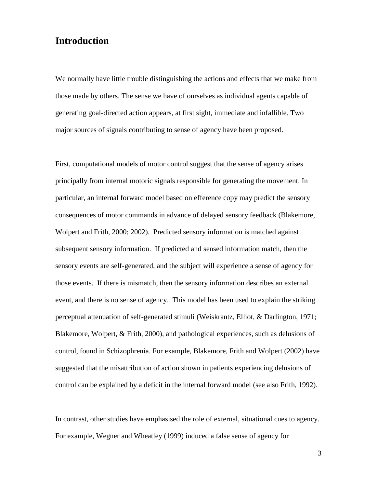# **Introduction**

We normally have little trouble distinguishing the actions and effects that we make from those made by others. The sense we have of ourselves as individual agents capable of generating goal-directed action appears, at first sight, immediate and infallible. Two major sources of signals contributing to sense of agency have been proposed.

First, computational models of motor control suggest that the sense of agency arises principally from internal motoric signals responsible for generating the movement. In particular, an internal forward model based on efference copy may predict the sensory consequences of motor commands in advance of delayed sensory feedback (Blakemore, Wolpert and Frith, 2000; 2002). Predicted sensory information is matched against subsequent sensory information. If predicted and sensed information match, then the sensory events are self-generated, and the subject will experience a sense of agency for those events. If there is mismatch, then the sensory information describes an external event, and there is no sense of agency. This model has been used to explain the striking perceptual attenuation of self-generated stimuli (Weiskrantz, Elliot, & Darlington, 1971; Blakemore, Wolpert, & Frith, 2000), and pathological experiences, such as delusions of control, found in Schizophrenia. For example, Blakemore, Frith and Wolpert (2002) have suggested that the misattribution of action shown in patients experiencing delusions of control can be explained by a deficit in the internal forward model (see also Frith, 1992).

In contrast, other studies have emphasised the role of external, situational cues to agency. For example, Wegner and Wheatley (1999) induced a false sense of agency for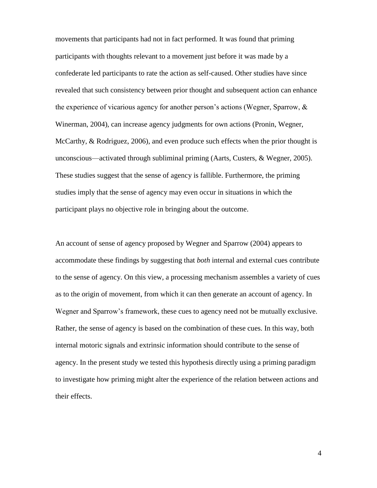movements that participants had not in fact performed. It was found that priming participants with thoughts relevant to a movement just before it was made by a confederate led participants to rate the action as self-caused. Other studies have since revealed that such consistency between prior thought and subsequent action can enhance the experience of vicarious agency for another person's actions (Wegner, Sparrow,  $\&$ Winerman, 2004), can increase agency judgments for own actions (Pronin, Wegner, McCarthy, & Rodriguez, 2006), and even produce such effects when the prior thought is unconscious—activated through subliminal priming (Aarts, Custers, & Wegner, 2005). These studies suggest that the sense of agency is fallible. Furthermore, the priming studies imply that the sense of agency may even occur in situations in which the participant plays no objective role in bringing about the outcome.

An account of sense of agency proposed by Wegner and Sparrow (2004) appears to accommodate these findings by suggesting that *both* internal and external cues contribute to the sense of agency. On this view, a processing mechanism assembles a variety of cues as to the origin of movement, from which it can then generate an account of agency. In Wegner and Sparrow's framework, these cues to agency need not be mutually exclusive. Rather, the sense of agency is based on the combination of these cues. In this way, both internal motoric signals and extrinsic information should contribute to the sense of agency. In the present study we tested this hypothesis directly using a priming paradigm to investigate how priming might alter the experience of the relation between actions and their effects.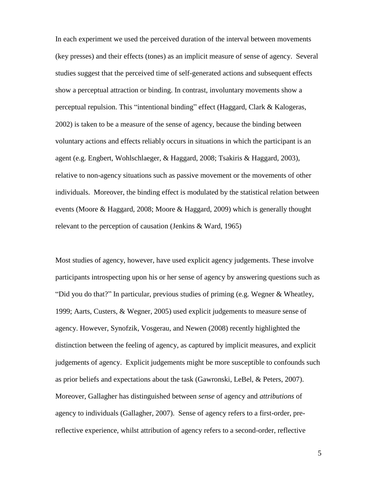In each experiment we used the perceived duration of the interval between movements (key presses) and their effects (tones) as an implicit measure of sense of agency. Several studies suggest that the perceived time of self-generated actions and subsequent effects show a perceptual attraction or binding. In contrast, involuntary movements show a perceptual repulsion. This "intentional binding" effect (Haggard, Clark & Kalogeras, 2002) is taken to be a measure of the sense of agency, because the binding between voluntary actions and effects reliably occurs in situations in which the participant is an agent (e.g. Engbert, Wohlschlaeger, & Haggard, 2008; Tsakiris & Haggard, 2003), relative to non-agency situations such as passive movement or the movements of other individuals. Moreover, the binding effect is modulated by the statistical relation between events (Moore & Haggard, 2008; Moore & Haggard, 2009) which is generally thought relevant to the perception of causation (Jenkins & Ward, 1965)

Most studies of agency, however, have used explicit agency judgements. These involve participants introspecting upon his or her sense of agency by answering questions such as "Did you do that?" In particular, previous studies of priming (e.g. Wegner & Wheatley, 1999; Aarts, Custers, & Wegner, 2005) used explicit judgements to measure sense of agency. However, Synofzik, Vosgerau, and Newen (2008) recently highlighted the distinction between the feeling of agency, as captured by implicit measures, and explicit judgements of agency. Explicit judgements might be more susceptible to confounds such as prior beliefs and expectations about the task (Gawronski, LeBel, & Peters, 2007). Moreover, Gallagher has distinguished between *sense* of agency and *attributions* of agency to individuals (Gallagher, 2007). Sense of agency refers to a first-order, prereflective experience, whilst attribution of agency refers to a second-order, reflective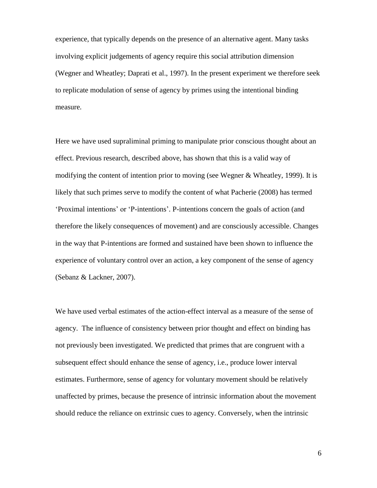experience, that typically depends on the presence of an alternative agent. Many tasks involving explicit judgements of agency require this social attribution dimension (Wegner and Wheatley; Daprati et al., 1997). In the present experiment we therefore seek to replicate modulation of sense of agency by primes using the intentional binding measure.

Here we have used supraliminal priming to manipulate prior conscious thought about an effect. Previous research, described above, has shown that this is a valid way of modifying the content of intention prior to moving (see Wegner & Wheatley, 1999). It is likely that such primes serve to modify the content of what Pacherie (2008) has termed 'Proximal intentions' or 'P-intentions'. P-intentions concern the goals of action (and therefore the likely consequences of movement) and are consciously accessible. Changes in the way that P-intentions are formed and sustained have been shown to influence the experience of voluntary control over an action, a key component of the sense of agency (Sebanz & Lackner, 2007).

We have used verbal estimates of the action-effect interval as a measure of the sense of agency. The influence of consistency between prior thought and effect on binding has not previously been investigated. We predicted that primes that are congruent with a subsequent effect should enhance the sense of agency, i.e., produce lower interval estimates. Furthermore, sense of agency for voluntary movement should be relatively unaffected by primes, because the presence of intrinsic information about the movement should reduce the reliance on extrinsic cues to agency. Conversely, when the intrinsic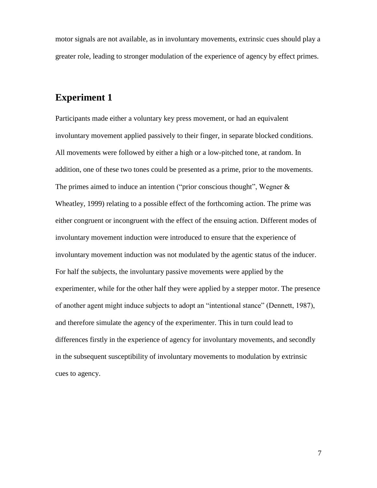motor signals are not available, as in involuntary movements, extrinsic cues should play a greater role, leading to stronger modulation of the experience of agency by effect primes.

# **Experiment 1**

Participants made either a voluntary key press movement, or had an equivalent involuntary movement applied passively to their finger, in separate blocked conditions. All movements were followed by either a high or a low-pitched tone, at random. In addition, one of these two tones could be presented as a prime, prior to the movements. The primes aimed to induce an intention ("prior conscious thought", Wegner & Wheatley, 1999) relating to a possible effect of the forthcoming action. The prime was either congruent or incongruent with the effect of the ensuing action. Different modes of involuntary movement induction were introduced to ensure that the experience of involuntary movement induction was not modulated by the agentic status of the inducer. For half the subjects, the involuntary passive movements were applied by the experimenter, while for the other half they were applied by a stepper motor. The presence of another agent might induce subjects to adopt an "intentional stance" (Dennett, 1987), and therefore simulate the agency of the experimenter. This in turn could lead to differences firstly in the experience of agency for involuntary movements, and secondly in the subsequent susceptibility of involuntary movements to modulation by extrinsic cues to agency.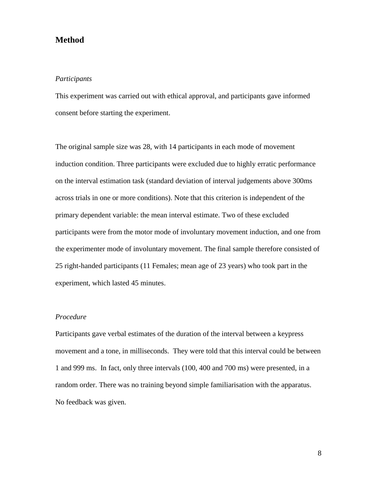### **Method**

### *Participants*

This experiment was carried out with ethical approval, and participants gave informed consent before starting the experiment.

The original sample size was 28, with 14 participants in each mode of movement induction condition. Three participants were excluded due to highly erratic performance on the interval estimation task (standard deviation of interval judgements above 300ms across trials in one or more conditions). Note that this criterion is independent of the primary dependent variable: the mean interval estimate. Two of these excluded participants were from the motor mode of involuntary movement induction, and one from the experimenter mode of involuntary movement. The final sample therefore consisted of 25 right-handed participants (11 Females; mean age of 23 years) who took part in the experiment, which lasted 45 minutes.

### *Procedure*

Participants gave verbal estimates of the duration of the interval between a keypress movement and a tone, in milliseconds. They were told that this interval could be between 1 and 999 ms. In fact, only three intervals (100, 400 and 700 ms) were presented, in a random order. There was no training beyond simple familiarisation with the apparatus. No feedback was given.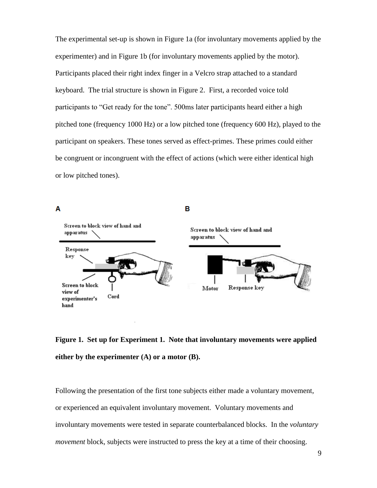The experimental set-up is shown in Figure 1a (for involuntary movements applied by the experimenter) and in Figure 1b (for involuntary movements applied by the motor). Participants placed their right index finger in a Velcro strap attached to a standard keyboard. The trial structure is shown in Figure 2. First, a recorded voice told participants to "Get ready for the tone". 500ms later participants heard either a high pitched tone (frequency 1000 Hz) or a low pitched tone (frequency 600 Hz), played to the participant on speakers. These tones served as effect-primes. These primes could either be congruent or incongruent with the effect of actions (which were either identical high or low pitched tones).



# **Figure 1. Set up for Experiment 1. Note that involuntary movements were applied either by the experimenter (A) or a motor (B).**

Following the presentation of the first tone subjects either made a voluntary movement, or experienced an equivalent involuntary movement. Voluntary movements and involuntary movements were tested in separate counterbalanced blocks. In the *voluntary movement* block, subjects were instructed to press the key at a time of their choosing.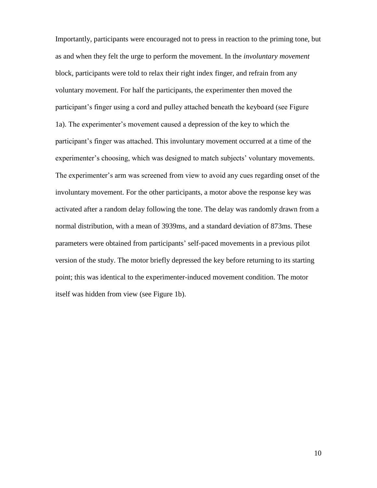Importantly, participants were encouraged not to press in reaction to the priming tone, but as and when they felt the urge to perform the movement. In the *involuntary movement*  block, participants were told to relax their right index finger, and refrain from any voluntary movement. For half the participants, the experimenter then moved the participant's finger using a cord and pulley attached beneath the keyboard (see Figure 1a). The experimenter's movement caused a depression of the key to which the participant's finger was attached. This involuntary movement occurred at a time of the experimenter's choosing, which was designed to match subjects' voluntary movements. The experimenter's arm was screened from view to avoid any cues regarding onset of the involuntary movement. For the other participants, a motor above the response key was activated after a random delay following the tone. The delay was randomly drawn from a normal distribution, with a mean of 3939ms, and a standard deviation of 873ms. These parameters were obtained from participants' self-paced movements in a previous pilot version of the study. The motor briefly depressed the key before returning to its starting point; this was identical to the experimenter-induced movement condition. The motor itself was hidden from view (see Figure 1b).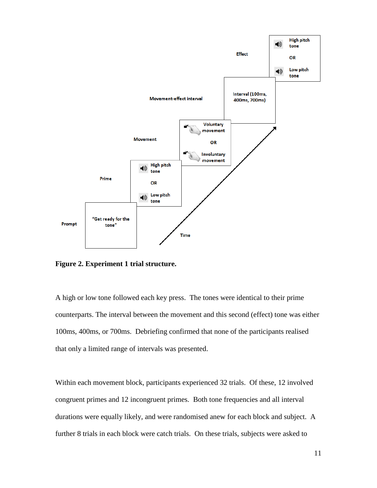

**Figure 2. Experiment 1 trial structure.**

A high or low tone followed each key press. The tones were identical to their prime counterparts. The interval between the movement and this second (effect) tone was either 100ms, 400ms, or 700ms. Debriefing confirmed that none of the participants realised that only a limited range of intervals was presented.

Within each movement block, participants experienced 32 trials. Of these, 12 involved congruent primes and 12 incongruent primes. Both tone frequencies and all interval durations were equally likely, and were randomised anew for each block and subject. A further 8 trials in each block were catch trials. On these trials, subjects were asked to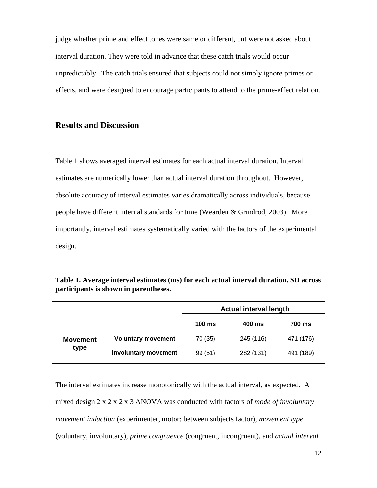judge whether prime and effect tones were same or different, but were not asked about interval duration. They were told in advance that these catch trials would occur unpredictably. The catch trials ensured that subjects could not simply ignore primes or effects, and were designed to encourage participants to attend to the prime-effect relation.

### **Results and Discussion**

Table 1 shows averaged interval estimates for each actual interval duration. Interval estimates are numerically lower than actual interval duration throughout. However, absolute accuracy of interval estimates varies dramatically across individuals, because people have different internal standards for time (Wearden & Grindrod, 2003). More importantly, interval estimates systematically varied with the factors of the experimental design.

|                         |                             | <b>Actual interval length</b> |           |           |
|-------------------------|-----------------------------|-------------------------------|-----------|-----------|
|                         |                             | $100 \text{ ms}$              | 400 ms    | 700 ms    |
| <b>Movement</b><br>type | <b>Voluntary movement</b>   | 70 (35)                       | 245 (116) | 471 (176) |
|                         | <b>Involuntary movement</b> | 99 (51)                       | 282 (131) | 491 (189) |

**Table 1. Average interval estimates (ms) for each actual interval duration. SD across participants is shown in parentheses.**

The interval estimates increase monotonically with the actual interval, as expected. A mixed design 2 x 2 x 2 x 3 ANOVA was conducted with factors of *mode of involuntary movement induction* (experimenter, motor: between subjects factor), *movement type* (voluntary, involuntary), *prime congruence* (congruent, incongruent), and *actual interval*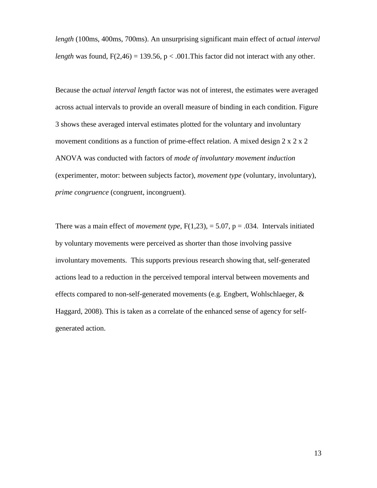*length* (100ms, 400ms, 700ms). An unsurprising significant main effect of *actual interval length* was found,  $F(2,46) = 139.56$ ,  $p < .001$ . This factor did not interact with any other.

Because the *actual interval length* factor was not of interest, the estimates were averaged across actual intervals to provide an overall measure of binding in each condition. Figure 3 shows these averaged interval estimates plotted for the voluntary and involuntary movement conditions as a function of prime-effect relation. A mixed design  $2 \times 2 \times 2$ ANOVA was conducted with factors of *mode of involuntary movement induction*  (experimenter, motor: between subjects factor), *movement type* (voluntary, involuntary), *prime congruence* (congruent, incongruent).

There was a main effect of *movement type*,  $F(1,23)$ , = 5.07, p = .034. Intervals initiated by voluntary movements were perceived as shorter than those involving passive involuntary movements. This supports previous research showing that, self-generated actions lead to a reduction in the perceived temporal interval between movements and effects compared to non-self-generated movements (e.g. Engbert, Wohlschlaeger, & Haggard, 2008). This is taken as a correlate of the enhanced sense of agency for selfgenerated action.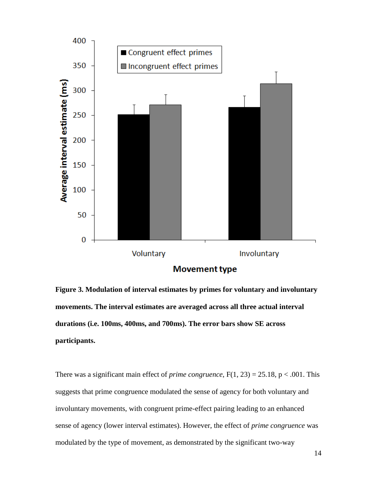

**Figure 3. Modulation of interval estimates by primes for voluntary and involuntary movements. The interval estimates are averaged across all three actual interval durations (i.e. 100ms, 400ms, and 700ms). The error bars show SE across participants.**

There was a significant main effect of *prime congruence*,  $F(1, 23) = 25.18$ ,  $p < .001$ . This suggests that prime congruence modulated the sense of agency for both voluntary and involuntary movements, with congruent prime-effect pairing leading to an enhanced sense of agency (lower interval estimates). However, the effect of *prime congruence* was modulated by the type of movement, as demonstrated by the significant two-way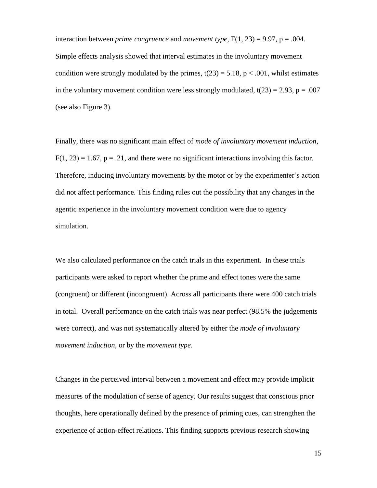interaction between *prime* congruence and *movement type*,  $F(1, 23) = 9.97$ ,  $p = .004$ . Simple effects analysis showed that interval estimates in the involuntary movement condition were strongly modulated by the primes,  $t(23) = 5.18$ ,  $p < .001$ , whilst estimates in the voluntary movement condition were less strongly modulated,  $t(23) = 2.93$ ,  $p = .007$ (see also Figure 3).

Finally, there was no significant main effect of *mode of involuntary movement induction*,  $F(1, 23) = 1.67$ ,  $p = .21$ , and there were no significant interactions involving this factor. Therefore, inducing involuntary movements by the motor or by the experimenter's action did not affect performance. This finding rules out the possibility that any changes in the agentic experience in the involuntary movement condition were due to agency simulation.

We also calculated performance on the catch trials in this experiment. In these trials participants were asked to report whether the prime and effect tones were the same (congruent) or different (incongruent). Across all participants there were 400 catch trials in total. Overall performance on the catch trials was near perfect (98.5% the judgements were correct), and was not systematically altered by either the *mode of involuntary movement induction*, or by the *movement type*.

Changes in the perceived interval between a movement and effect may provide implicit measures of the modulation of sense of agency. Our results suggest that conscious prior thoughts, here operationally defined by the presence of priming cues, can strengthen the experience of action-effect relations. This finding supports previous research showing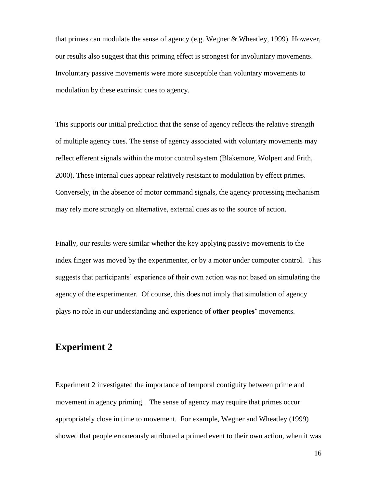that primes can modulate the sense of agency (e.g. Wegner & Wheatley, 1999). However, our results also suggest that this priming effect is strongest for involuntary movements. Involuntary passive movements were more susceptible than voluntary movements to modulation by these extrinsic cues to agency.

This supports our initial prediction that the sense of agency reflects the relative strength of multiple agency cues. The sense of agency associated with voluntary movements may reflect efferent signals within the motor control system (Blakemore, Wolpert and Frith, 2000). These internal cues appear relatively resistant to modulation by effect primes. Conversely, in the absence of motor command signals, the agency processing mechanism may rely more strongly on alternative, external cues as to the source of action.

Finally, our results were similar whether the key applying passive movements to the index finger was moved by the experimenter, or by a motor under computer control. This suggests that participants' experience of their own action was not based on simulating the agency of the experimenter. Of course, this does not imply that simulation of agency plays no role in our understanding and experience of **other peoples'** movements.

# **Experiment 2**

Experiment 2 investigated the importance of temporal contiguity between prime and movement in agency priming. The sense of agency may require that primes occur appropriately close in time to movement. For example, Wegner and Wheatley (1999) showed that people erroneously attributed a primed event to their own action, when it was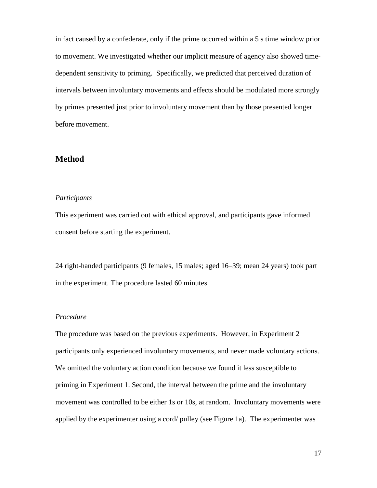in fact caused by a confederate, only if the prime occurred within a 5 s time window prior to movement. We investigated whether our implicit measure of agency also showed timedependent sensitivity to priming. Specifically, we predicted that perceived duration of intervals between involuntary movements and effects should be modulated more strongly by primes presented just prior to involuntary movement than by those presented longer before movement.

### **Method**

#### *Participants*

This experiment was carried out with ethical approval, and participants gave informed consent before starting the experiment.

24 right-handed participants (9 females, 15 males; aged 16–39; mean 24 years) took part in the experiment. The procedure lasted 60 minutes.

#### *Procedure*

The procedure was based on the previous experiments. However, in Experiment 2 participants only experienced involuntary movements, and never made voluntary actions. We omitted the voluntary action condition because we found it less susceptible to priming in Experiment 1. Second, the interval between the prime and the involuntary movement was controlled to be either 1s or 10s, at random. Involuntary movements were applied by the experimenter using a cord/ pulley (see Figure 1a). The experimenter was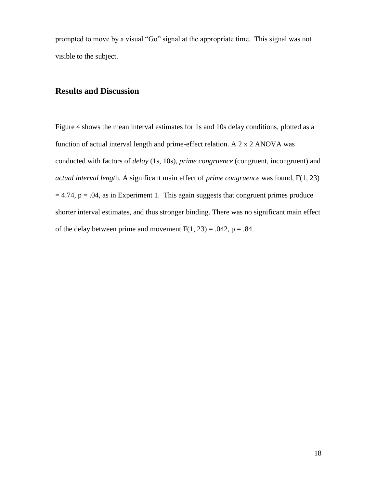prompted to move by a visual "Go" signal at the appropriate time. This signal was not visible to the subject.

# **Results and Discussion**

Figure 4 shows the mean interval estimates for 1s and 10s delay conditions, plotted as a function of actual interval length and prime-effect relation. A 2 x 2 ANOVA was conducted with factors of *delay* (1s, 10s), *prime congruence* (congruent, incongruent) and *actual interval lengt*h. A significant main effect of *prime congruence* was found, F(1, 23)  $= 4.74$ ,  $p = .04$ , as in Experiment 1. This again suggests that congruent primes produce shorter interval estimates, and thus stronger binding. There was no significant main effect of the delay between prime and movement  $F(1, 23) = .042$ ,  $p = .84$ .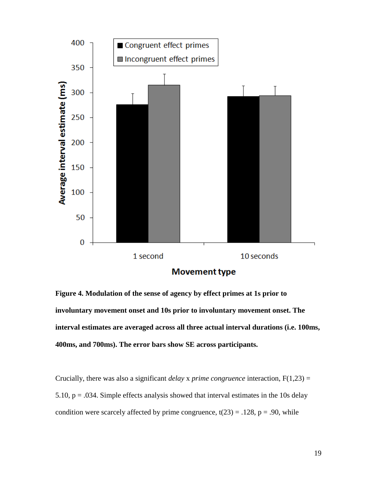

**Figure 4. Modulation of the sense of agency by effect primes at 1s prior to involuntary movement onset and 10s prior to involuntary movement onset. The interval estimates are averaged across all three actual interval durations (i.e. 100ms, 400ms, and 700ms). The error bars show SE across participants.**

Crucially, there was also a significant *delay* x *prime congruence* interaction, F(1,23) = 5.10,  $p = .034$ . Simple effects analysis showed that interval estimates in the 10s delay condition were scarcely affected by prime congruence,  $t(23) = .128$ ,  $p = .90$ , while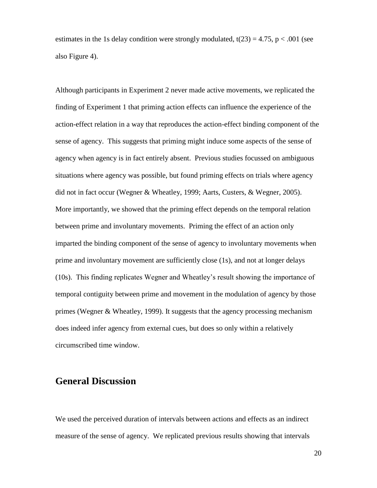estimates in the 1s delay condition were strongly modulated,  $t(23) = 4.75$ ,  $p < .001$  (see also Figure 4).

Although participants in Experiment 2 never made active movements, we replicated the finding of Experiment 1 that priming action effects can influence the experience of the action-effect relation in a way that reproduces the action-effect binding component of the sense of agency. This suggests that priming might induce some aspects of the sense of agency when agency is in fact entirely absent. Previous studies focussed on ambiguous situations where agency was possible, but found priming effects on trials where agency did not in fact occur (Wegner & Wheatley, 1999; Aarts, Custers, & Wegner, 2005). More importantly, we showed that the priming effect depends on the temporal relation between prime and involuntary movements. Priming the effect of an action only imparted the binding component of the sense of agency to involuntary movements when prime and involuntary movement are sufficiently close (1s), and not at longer delays (10s). This finding replicates Wegner and Wheatley's result showing the importance of temporal contiguity between prime and movement in the modulation of agency by those primes (Wegner & Wheatley, 1999). It suggests that the agency processing mechanism does indeed infer agency from external cues, but does so only within a relatively circumscribed time window.

# **General Discussion**

We used the perceived duration of intervals between actions and effects as an indirect measure of the sense of agency. We replicated previous results showing that intervals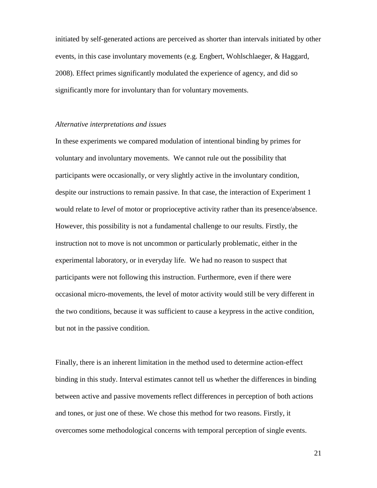initiated by self-generated actions are perceived as shorter than intervals initiated by other events, in this case involuntary movements (e.g. Engbert, Wohlschlaeger, & Haggard, 2008). Effect primes significantly modulated the experience of agency, and did so significantly more for involuntary than for voluntary movements.

#### *Alternative interpretations and issues*

In these experiments we compared modulation of intentional binding by primes for voluntary and involuntary movements. We cannot rule out the possibility that participants were occasionally, or very slightly active in the involuntary condition, despite our instructions to remain passive. In that case, the interaction of Experiment 1 would relate to *level* of motor or proprioceptive activity rather than its presence/absence. However, this possibility is not a fundamental challenge to our results. Firstly, the instruction not to move is not uncommon or particularly problematic, either in the experimental laboratory, or in everyday life. We had no reason to suspect that participants were not following this instruction. Furthermore, even if there were occasional micro-movements, the level of motor activity would still be very different in the two conditions, because it was sufficient to cause a keypress in the active condition, but not in the passive condition.

Finally, there is an inherent limitation in the method used to determine action-effect binding in this study. Interval estimates cannot tell us whether the differences in binding between active and passive movements reflect differences in perception of both actions and tones, or just one of these. We chose this method for two reasons. Firstly, it overcomes some methodological concerns with temporal perception of single events.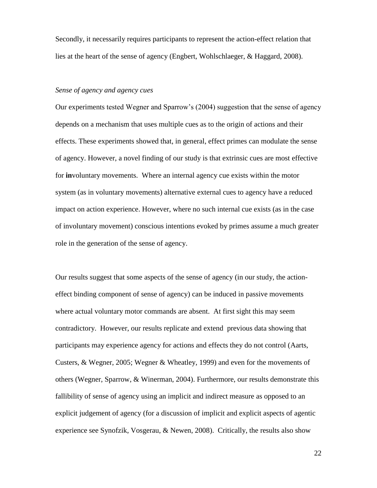Secondly, it necessarily requires participants to represent the action-effect relation that lies at the heart of the sense of agency (Engbert, Wohlschlaeger, & Haggard, 2008).

#### *Sense of agency and agency cues*

Our experiments tested Wegner and Sparrow's (2004) suggestion that the sense of agency depends on a mechanism that uses multiple cues as to the origin of actions and their effects. These experiments showed that, in general, effect primes can modulate the sense of agency. However, a novel finding of our study is that extrinsic cues are most effective for **in**voluntary movements. Where an internal agency cue exists within the motor system (as in voluntary movements) alternative external cues to agency have a reduced impact on action experience. However, where no such internal cue exists (as in the case of involuntary movement) conscious intentions evoked by primes assume a much greater role in the generation of the sense of agency.

Our results suggest that some aspects of the sense of agency (in our study, the actioneffect binding component of sense of agency) can be induced in passive movements where actual voluntary motor commands are absent. At first sight this may seem contradictory. However, our results replicate and extend previous data showing that participants may experience agency for actions and effects they do not control (Aarts, Custers, & Wegner, 2005; Wegner & Wheatley, 1999) and even for the movements of others (Wegner, Sparrow, & Winerman, 2004). Furthermore, our results demonstrate this fallibility of sense of agency using an implicit and indirect measure as opposed to an explicit judgement of agency (for a discussion of implicit and explicit aspects of agentic experience see Synofzik, Vosgerau, & Newen, 2008). Critically, the results also show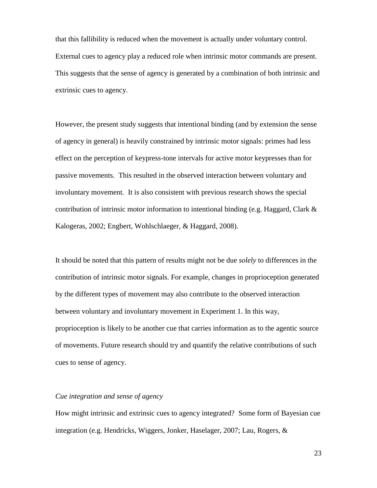that this fallibility is reduced when the movement is actually under voluntary control. External cues to agency play a reduced role when intrinsic motor commands are present. This suggests that the sense of agency is generated by a combination of both intrinsic and extrinsic cues to agency.

However, the present study suggests that intentional binding (and by extension the sense of agency in general) is heavily constrained by intrinsic motor signals: primes had less effect on the perception of keypress-tone intervals for active motor keypresses than for passive movements. This resulted in the observed interaction between voluntary and involuntary movement. It is also consistent with previous research shows the special contribution of intrinsic motor information to intentional binding (e.g. Haggard, Clark & Kalogeras, 2002; Engbert, Wohlschlaeger, & Haggard, 2008).

It should be noted that this pattern of results might not be due *solely* to differences in the contribution of intrinsic motor signals. For example, changes in proprioception generated by the different types of movement may also contribute to the observed interaction between voluntary and involuntary movement in Experiment 1. In this way, proprioception is likely to be another cue that carries information as to the agentic source of movements. Future research should try and quantify the relative contributions of such cues to sense of agency.

### *Cue integration and sense of agency*

How might intrinsic and extrinsic cues to agency integrated? Some form of Bayesian cue integration (e.g. Hendricks, Wiggers, Jonker, Haselager, 2007; Lau, Rogers, &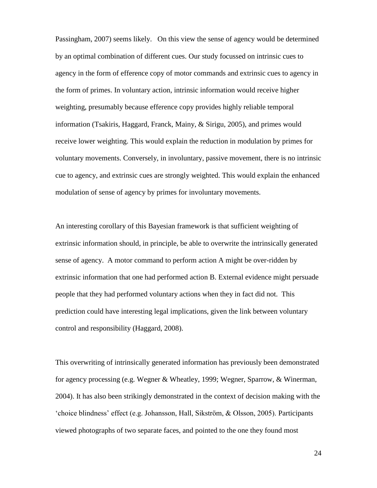Passingham, 2007) seems likely. On this view the sense of agency would be determined by an optimal combination of different cues. Our study focussed on intrinsic cues to agency in the form of efference copy of motor commands and extrinsic cues to agency in the form of primes. In voluntary action, intrinsic information would receive higher weighting, presumably because efference copy provides highly reliable temporal information (Tsakiris, Haggard, Franck, Mainy, & Sirigu, 2005), and primes would receive lower weighting. This would explain the reduction in modulation by primes for voluntary movements. Conversely, in involuntary, passive movement, there is no intrinsic cue to agency, and extrinsic cues are strongly weighted. This would explain the enhanced modulation of sense of agency by primes for involuntary movements.

An interesting corollary of this Bayesian framework is that sufficient weighting of extrinsic information should, in principle, be able to overwrite the intrinsically generated sense of agency. A motor command to perform action A might be over-ridden by extrinsic information that one had performed action B. External evidence might persuade people that they had performed voluntary actions when they in fact did not. This prediction could have interesting legal implications, given the link between voluntary control and responsibility (Haggard, 2008).

This overwriting of intrinsically generated information has previously been demonstrated for agency processing (e.g. Wegner & Wheatley, 1999; Wegner, Sparrow, & Winerman, 2004). It has also been strikingly demonstrated in the context of decision making with the 'choice blindness' effect (e.g. Johansson, Hall, Sikström, & Olsson, 2005). Participants viewed photographs of two separate faces, and pointed to the one they found most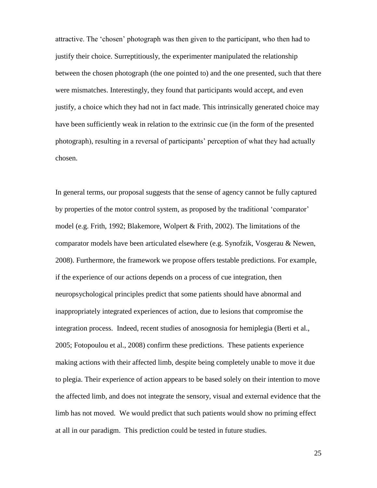attractive. The 'chosen' photograph was then given to the participant, who then had to justify their choice. Surreptitiously, the experimenter manipulated the relationship between the chosen photograph (the one pointed to) and the one presented, such that there were mismatches. Interestingly, they found that participants would accept, and even justify, a choice which they had not in fact made. This intrinsically generated choice may have been sufficiently weak in relation to the extrinsic cue (in the form of the presented photograph), resulting in a reversal of participants' perception of what they had actually chosen.

In general terms, our proposal suggests that the sense of agency cannot be fully captured by properties of the motor control system, as proposed by the traditional 'comparator' model (e.g. Frith, 1992; Blakemore, Wolpert & Frith, 2002). The limitations of the comparator models have been articulated elsewhere (e.g. Synofzik, Vosgerau & Newen, 2008). Furthermore, the framework we propose offers testable predictions. For example, if the experience of our actions depends on a process of cue integration, then neuropsychological principles predict that some patients should have abnormal and inappropriately integrated experiences of action, due to lesions that compromise the integration process. Indeed, recent studies of anosognosia for hemiplegia (Berti et al., 2005; Fotopoulou et al., 2008) confirm these predictions. These patients experience making actions with their affected limb, despite being completely unable to move it due to plegia. Their experience of action appears to be based solely on their intention to move the affected limb, and does not integrate the sensory, visual and external evidence that the limb has not moved. We would predict that such patients would show no priming effect at all in our paradigm. This prediction could be tested in future studies.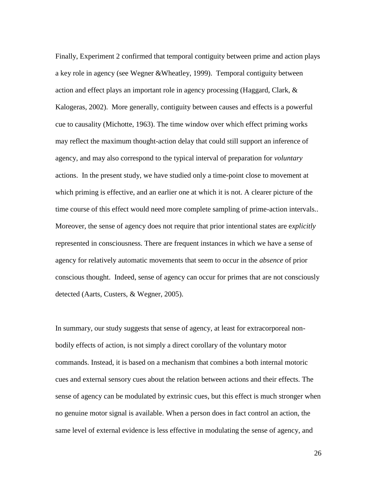Finally, Experiment 2 confirmed that temporal contiguity between prime and action plays a key role in agency (see Wegner &Wheatley, 1999). Temporal contiguity between action and effect plays an important role in agency processing (Haggard, Clark, & Kalogeras, 2002). More generally, contiguity between causes and effects is a powerful cue to causality (Michotte, 1963). The time window over which effect priming works may reflect the maximum thought-action delay that could still support an inference of agency, and may also correspond to the typical interval of preparation for *voluntary* actions. In the present study, we have studied only a time-point close to movement at which priming is effective, and an earlier one at which it is not. A clearer picture of the time course of this effect would need more complete sampling of prime-action intervals.. Moreover, the sense of agency does not require that prior intentional states are e*xplicitly* represented in consciousness. There are frequent instances in which we have a sense of agency for relatively automatic movements that seem to occur in the *absence* of prior conscious thought. Indeed, sense of agency can occur for primes that are not consciously detected (Aarts, Custers, & Wegner, 2005).

In summary, our study suggests that sense of agency, at least for extracorporeal nonbodily effects of action, is not simply a direct corollary of the voluntary motor commands. Instead, it is based on a mechanism that combines a both internal motoric cues and external sensory cues about the relation between actions and their effects. The sense of agency can be modulated by extrinsic cues, but this effect is much stronger when no genuine motor signal is available. When a person does in fact control an action, the same level of external evidence is less effective in modulating the sense of agency, and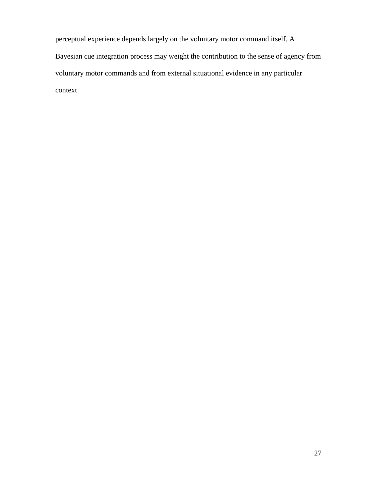perceptual experience depends largely on the voluntary motor command itself. A Bayesian cue integration process may weight the contribution to the sense of agency from voluntary motor commands and from external situational evidence in any particular context.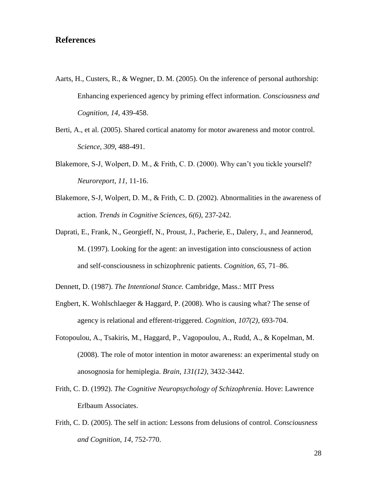### **References**

- Aarts, H., Custers, R., & Wegner, D. M. (2005). On the inference of personal authorship: Enhancing experienced agency by priming effect information. *Consciousness and Cognition, 14,* 439-458.
- Berti, A., et al. (2005). Shared cortical anatomy for motor awareness and motor control. *Science*, *309*, 488-491.
- Blakemore, S-J, Wolpert, D. M., & Frith, C. D. (2000). Why can't you tickle yourself? *Neuroreport*, *11*, 11-16.
- Blakemore, S-J, Wolpert, D. M., & Frith, C. D. (2002). Abnormalities in the awareness of action. *Trends in Cognitive Sciences, 6(6)*, 237-242.
- Daprati, E., Frank, N., Georgieff, N., Proust, J., Pacherie, E., Dalery, J., and Jeannerod, M. (1997). Looking for the agent: an investigation into consciousness of action and self-consciousness in schizophrenic patients. *Cognition*, *65*, 71–86.
- Dennett, D. (1987). *The Intentional Stance.* Cambridge, Mass.: MIT Press
- Engbert, K. Wohlschlaeger & Haggard, P. (2008). Who is causing what? The sense of agency is relational and efferent-triggered. *Cognition*, *107(2)*, 693-704.
- Fotopoulou, A., Tsakiris, M., Haggard, P., Vagopoulou, A., Rudd, A., & Kopelman, M. (2008). The role of motor intention in motor awareness: an experimental study on anosognosia for hemiplegia. *Brain*, *131(12)*, 3432-3442.
- Frith, C. D. (1992). *The Cognitive Neuropsychology of Schizophrenia*. Hove: Lawrence Erlbaum Associates.
- Frith, C. D. (2005). The self in action: Lessons from delusions of control. *Consciousness and Cognition*, *14*, 752-770.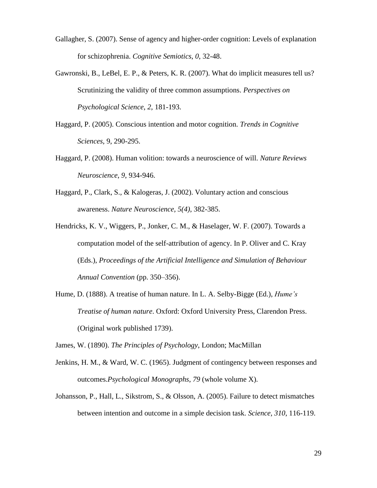- Gallagher, S. (2007). Sense of agency and higher-order cognition: Levels of explanation for schizophrenia. *Cognitive Semiotics*, *0*, 32-48.
- Gawronski, B., LeBel, E. P., & Peters, K. R. (2007). What do implicit measures tell us? Scrutinizing the validity of three common assumptions. *Perspectives on Psychological Science*, *2*, 181-193.
- Haggard, P. (2005). Conscious intention and motor cognition. *Trends in Cognitive Sciences*, 9, 290-295.
- Haggard, P. (2008). Human volition: towards a neuroscience of will. *Nature Reviews Neuroscience*, *9*, 934-946.
- Haggard, P., Clark, S., & Kalogeras, J. (2002). Voluntary action and conscious awareness. *Nature Neuroscience, 5(4)*, 382-385.
- Hendricks, K. V., Wiggers, P., Jonker, C. M., & Haselager, W. F. (2007). Towards a computation model of the self-attribution of agency. In P. Oliver and C. Kray (Eds.), *Proceedings of the Artificial Intelligence and Simulation of Behaviour Annual Convention* (pp. 350–356).
- Hume, D. (1888). A treatise of human nature. In L. A. Selby-Bigge (Ed.), *Hume's Treatise of human nature*. Oxford: Oxford University Press, Clarendon Press. (Original work published 1739).
- James, W. (1890). *The Principles of Psychology*, London; MacMillan
- Jenkins, H. M., & Ward, W. C. (1965). Judgment of contingency between responses and outcomes.*Psychological Monographs*, *79* (whole volume X).
- Johansson, P., Hall, L., Sikstrom, S., & Olsson, A. (2005). Failure to detect mismatches between intention and outcome in a simple decision task. *Science, 310*, 116-119.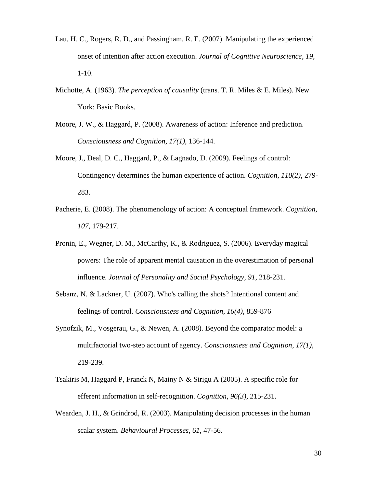- Lau, H. C., Rogers, R. D., and Passingham, R. E. (2007). Manipulating the experienced onset of intention after action execution. *Journal of Cognitive Neuroscience*, *19*, 1-10.
- Michotte, A. (1963). *The perception of causality* (trans. T. R. Miles & E. Miles). New York: Basic Books.
- Moore, J. W., & Haggard, P. (2008). Awareness of action: Inference and prediction. *Consciousness and Cognition*, *17(1)*, 136-144.
- Moore, J., Deal, D. C., Haggard, P., & Lagnado, D. (2009). Feelings of control: Contingency determines the human experience of action. *Cognition*, *110(2)*, 279- 283.
- Pacherie, E. (2008). The phenomenology of action: A conceptual framework. *Cognition, 107*, 179-217.
- Pronin, E., Wegner, D. M., McCarthy, K., & Rodriguez, S. (2006). Everyday magical powers: The role of apparent mental causation in the overestimation of personal influence. *Journal of Personality and Social Psychology, 91,* 218-231*.*
- Sebanz, N. & Lackner, U. (2007). Who's calling the shots? Intentional content and feelings of control. *Consciousness and Cognition*, *16(4)*, 859-876
- Synofzik, M., Vosgerau, G., & Newen, A. (2008). Beyond the comparator model: a multifactorial two-step account of agency. *Consciousness and Cognition*, *17(1)*, 219-239.
- Tsakiris M, Haggard P, Franck N, Mainy N & Sirigu A (2005). A specific role for efferent information in self-recognition. *Cognition*, *96(3)*, 215-231.
- Wearden, J. H., & Grindrod, R. (2003). Manipulating decision processes in the human scalar system. *Behavioural Processes*, *61*, 47-56.